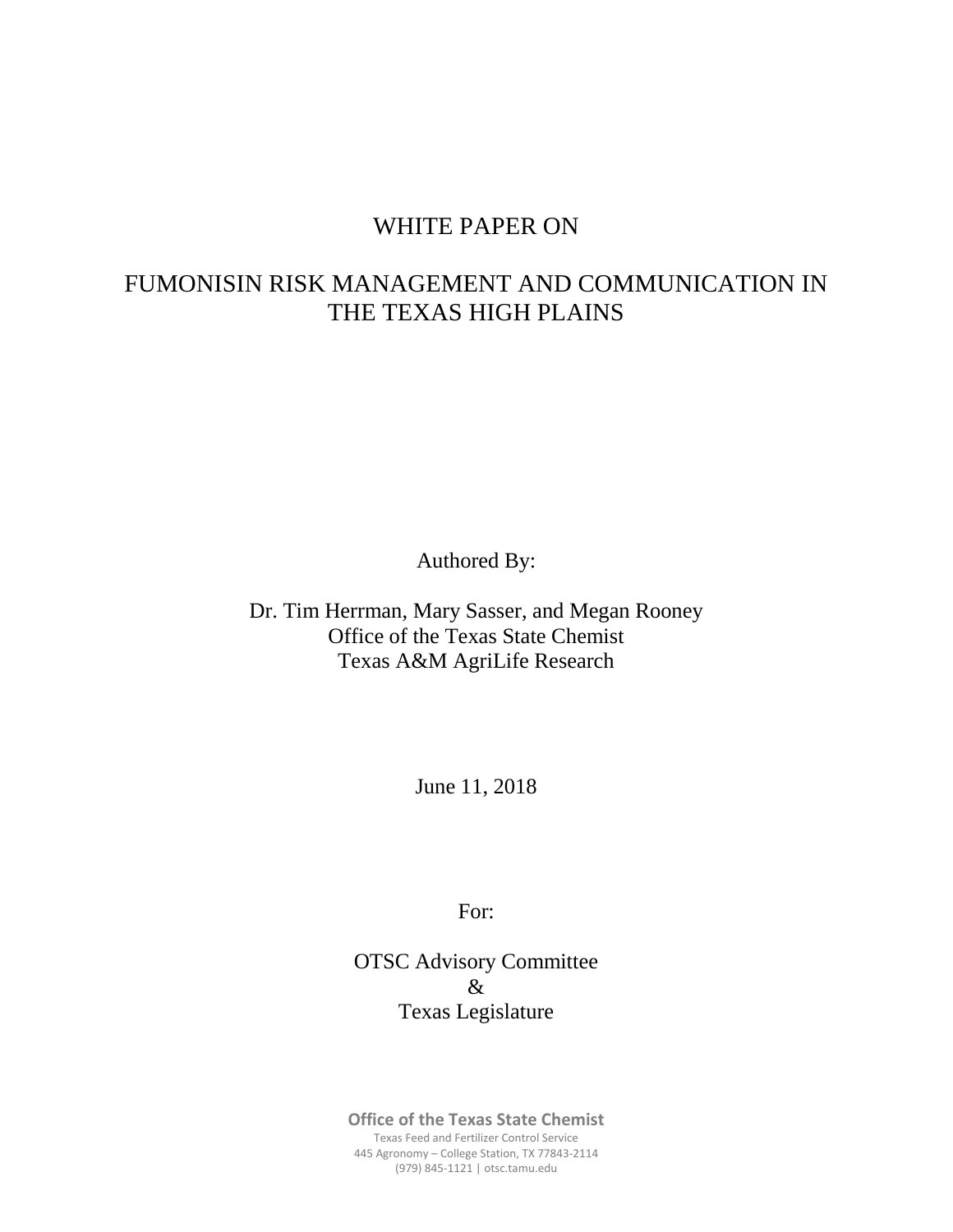### WHITE PAPER ON

## FUMONISIN RISK MANAGEMENT AND COMMUNICATION IN THE TEXAS HIGH PLAINS

Authored By:

Dr. Tim Herrman, Mary Sasser, and Megan Rooney Office of the Texas State Chemist Texas A&M AgriLife Research

June 11, 2018

For:

OTSC Advisory Committee & Texas Legislature

**Office of the Texas State Chemist** Texas Feed and Fertilizer Control Service 445 Agronomy – College Station, TX 77843-2114 (979) 845-1121 | otsc.tamu.edu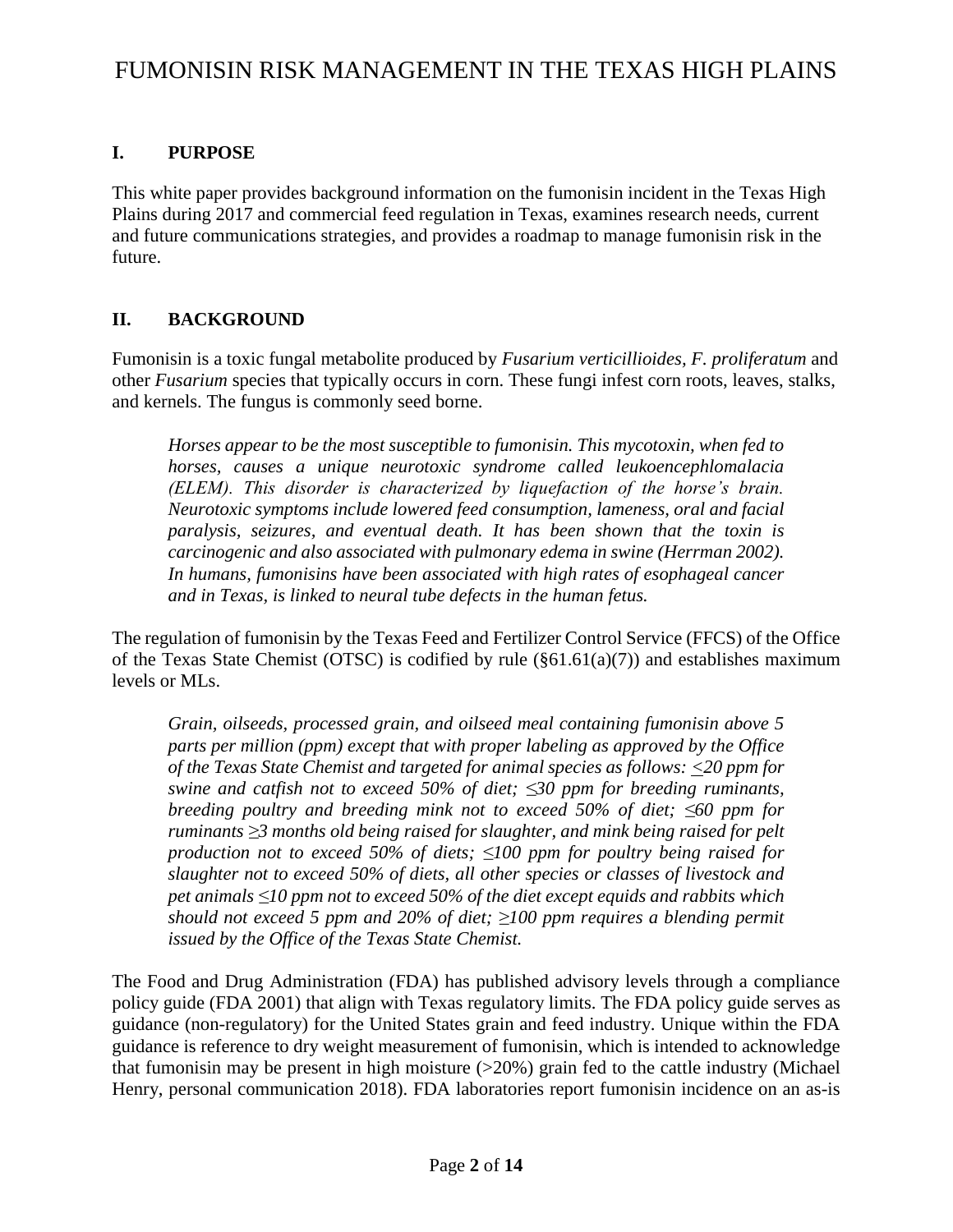### **I. PURPOSE**

This white paper provides background information on the fumonisin incident in the Texas High Plains during 2017 and commercial feed regulation in Texas, examines research needs, current and future communications strategies, and provides a roadmap to manage fumonisin risk in the future.

### **II. BACKGROUND**

Fumonisin is a toxic fungal metabolite produced by *Fusarium verticillioides, F. proliferatum* and other *Fusarium* species that typically occurs in corn. These fungi infest corn roots, leaves, stalks, and kernels. The fungus is commonly seed borne.

*Horses appear to be the most susceptible to fumonisin. This mycotoxin, when fed to horses, causes a unique neurotoxic syndrome called leukoencephlomalacia (ELEM). This disorder is characterized by liquefaction of the horse's brain. Neurotoxic symptoms include lowered feed consumption, lameness, oral and facial paralysis, seizures, and eventual death. It has been shown that the toxin is carcinogenic and also associated with pulmonary edema in swine (Herrman 2002). In humans, fumonisins have been associated with high rates of esophageal cancer and in Texas, is linked to neural tube defects in the human fetus.* 

The regulation of fumonisin by the Texas Feed and Fertilizer Control Service (FFCS) of the Office of the Texas State Chemist (OTSC) is codified by rule  $(\S 61.61(a)(7))$  and establishes maximum levels or MLs.

*Grain, oilseeds, processed grain, and oilseed meal containing fumonisin above 5 parts per million (ppm) except that with proper labeling as approved by the Office of the Texas State Chemist and targeted for animal species as follows: <20 ppm for swine and catfish not to exceed 50% of diet; ≤30 ppm for breeding ruminants, breeding poultry and breeding mink not to exceed 50% of diet; ≤60 ppm for ruminants ≥3 months old being raised for slaughter, and mink being raised for pelt production not to exceed 50% of diets; ≤100 ppm for poultry being raised for slaughter not to exceed 50% of diets, all other species or classes of livestock and pet animals ≤10 ppm not to exceed 50% of the diet except equids and rabbits which should not exceed 5 ppm and 20% of diet; ≥100 ppm requires a blending permit issued by the Office of the Texas State Chemist.*

The Food and Drug Administration (FDA) has published advisory levels through a compliance policy guide (FDA 2001) that align with Texas regulatory limits. The FDA policy guide serves as guidance (non-regulatory) for the United States grain and feed industry. Unique within the FDA guidance is reference to dry weight measurement of fumonisin, which is intended to acknowledge that fumonisin may be present in high moisture  $(>20%)$  grain fed to the cattle industry (Michael Henry, personal communication 2018). FDA laboratories report fumonisin incidence on an as-is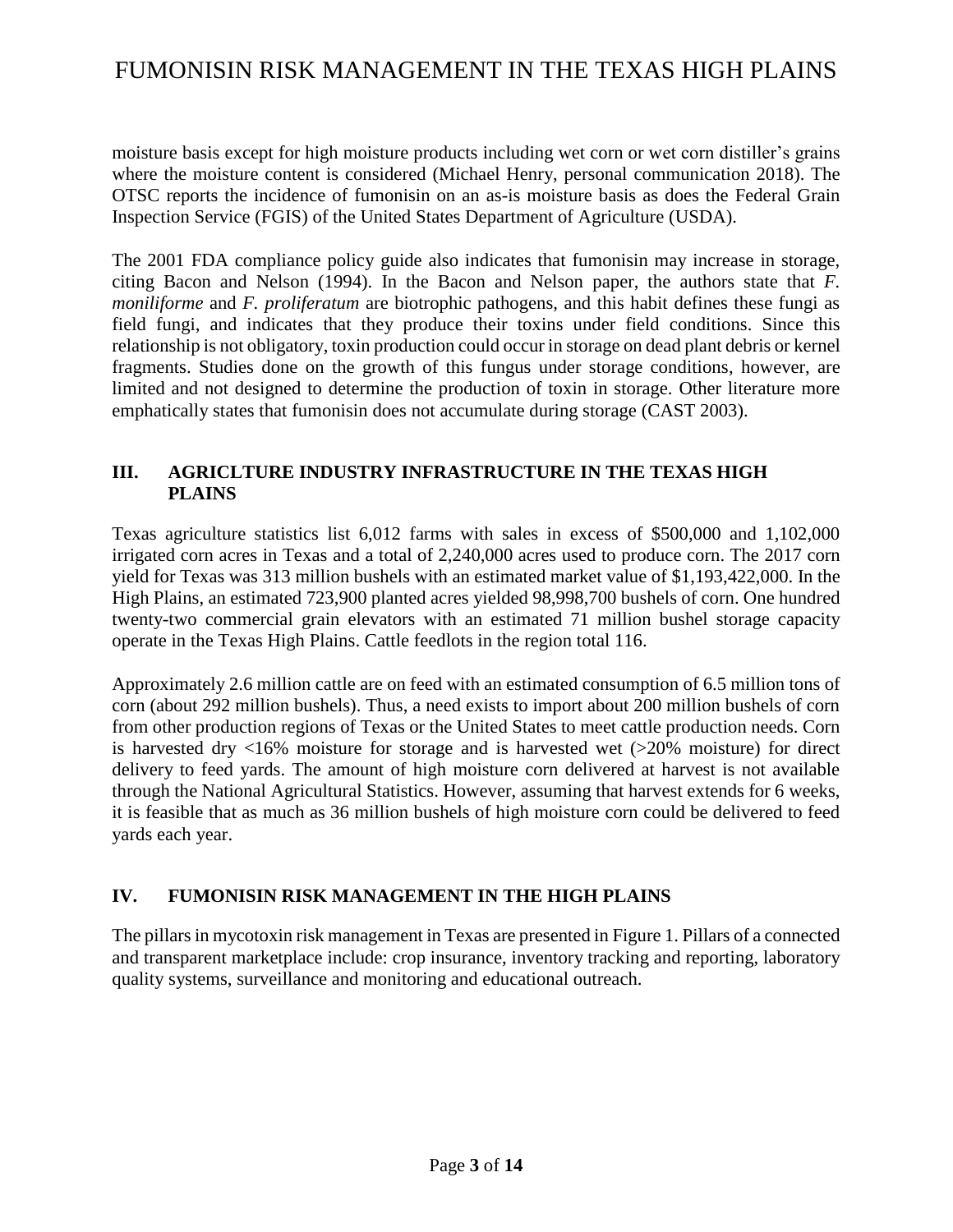moisture basis except for high moisture products including wet corn or wet corn distiller's grains where the moisture content is considered (Michael Henry, personal communication 2018). The OTSC reports the incidence of fumonisin on an as-is moisture basis as does the Federal Grain Inspection Service (FGIS) of the United States Department of Agriculture (USDA).

The 2001 FDA compliance policy guide also indicates that fumonisin may increase in storage, citing Bacon and Nelson (1994). In the Bacon and Nelson paper, the authors state that *F. moniliforme* and *F. proliferatum* are biotrophic pathogens, and this habit defines these fungi as field fungi, and indicates that they produce their toxins under field conditions. Since this relationship is not obligatory, toxin production could occur in storage on dead plant debris or kernel fragments. Studies done on the growth of this fungus under storage conditions, however, are limited and not designed to determine the production of toxin in storage. Other literature more emphatically states that fumonisin does not accumulate during storage (CAST 2003).

### **III. AGRICLTURE INDUSTRY INFRASTRUCTURE IN THE TEXAS HIGH PLAINS**

Texas agriculture statistics list 6,012 farms with sales in excess of \$500,000 and 1,102,000 irrigated corn acres in Texas and a total of 2,240,000 acres used to produce corn. The 2017 corn yield for Texas was 313 million bushels with an estimated market value of \$1,193,422,000. In the High Plains, an estimated 723,900 planted acres yielded 98,998,700 bushels of corn. One hundred twenty-two commercial grain elevators with an estimated 71 million bushel storage capacity operate in the Texas High Plains. Cattle feedlots in the region total 116.

Approximately 2.6 million cattle are on feed with an estimated consumption of 6.5 million tons of corn (about 292 million bushels). Thus, a need exists to import about 200 million bushels of corn from other production regions of Texas or the United States to meet cattle production needs. Corn is harvested dry <16% moisture for storage and is harvested wet (>20% moisture) for direct delivery to feed yards. The amount of high moisture corn delivered at harvest is not available through the National Agricultural Statistics. However, assuming that harvest extends for 6 weeks, it is feasible that as much as 36 million bushels of high moisture corn could be delivered to feed yards each year.

### **IV. FUMONISIN RISK MANAGEMENT IN THE HIGH PLAINS**

The pillars in mycotoxin risk management in Texas are presented in Figure 1. Pillars of a connected and transparent marketplace include: crop insurance, inventory tracking and reporting, laboratory quality systems, surveillance and monitoring and educational outreach.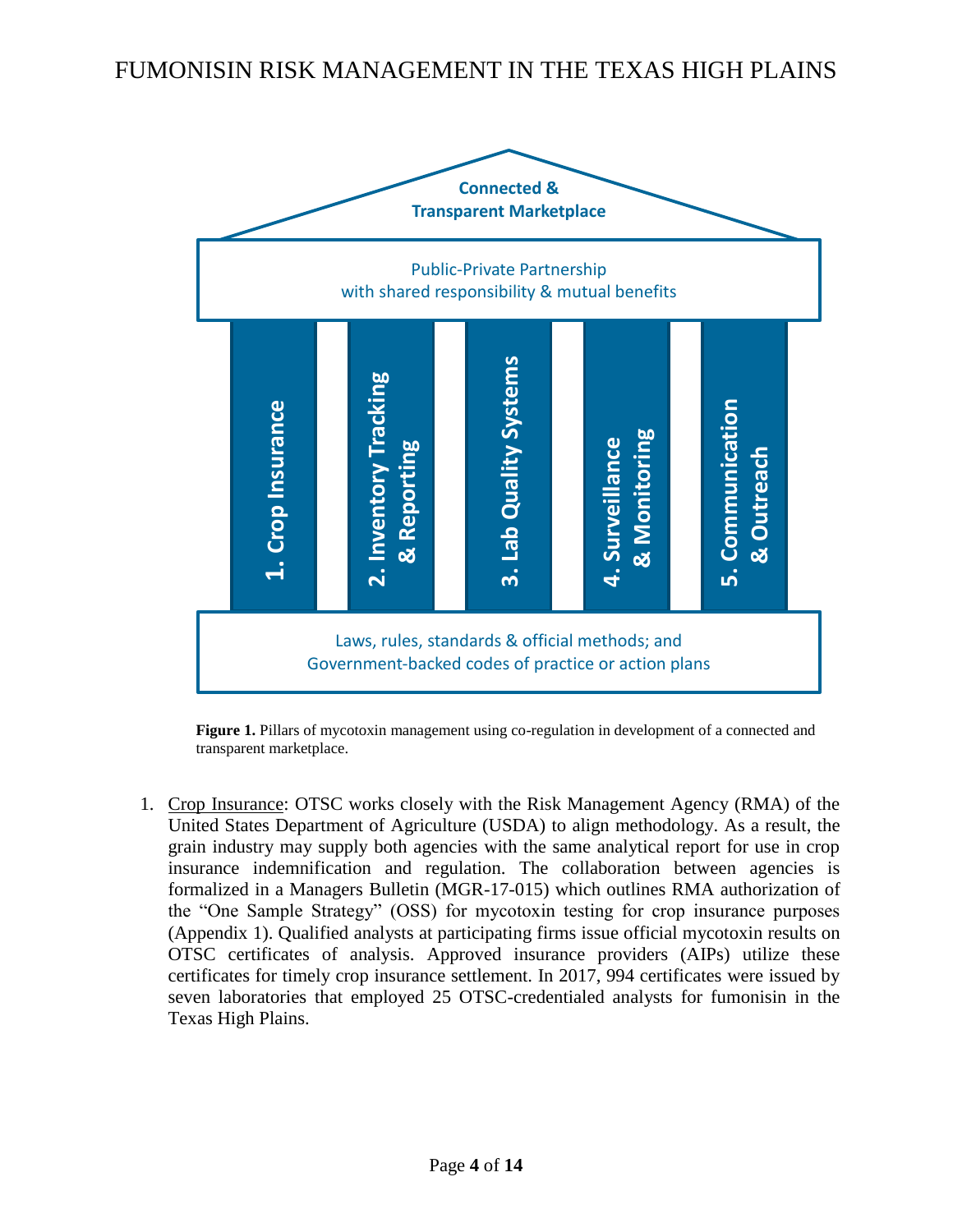

**Figure 1.** Pillars of mycotoxin management using co-regulation in development of a connected and transparent marketplace.

1. Crop Insurance: OTSC works closely with the Risk Management Agency (RMA) of the United States Department of Agriculture (USDA) to align methodology. As a result, the grain industry may supply both agencies with the same analytical report for use in crop insurance indemnification and regulation. The collaboration between agencies is formalized in a Managers Bulletin (MGR-17-015) which outlines RMA authorization of the "One Sample Strategy" (OSS) for mycotoxin testing for crop insurance purposes (Appendix 1). Qualified analysts at participating firms issue official mycotoxin results on OTSC certificates of analysis. Approved insurance providers (AIPs) utilize these certificates for timely crop insurance settlement. In 2017, 994 certificates were issued by seven laboratories that employed 25 OTSC-credentialed analysts for fumonisin in the Texas High Plains.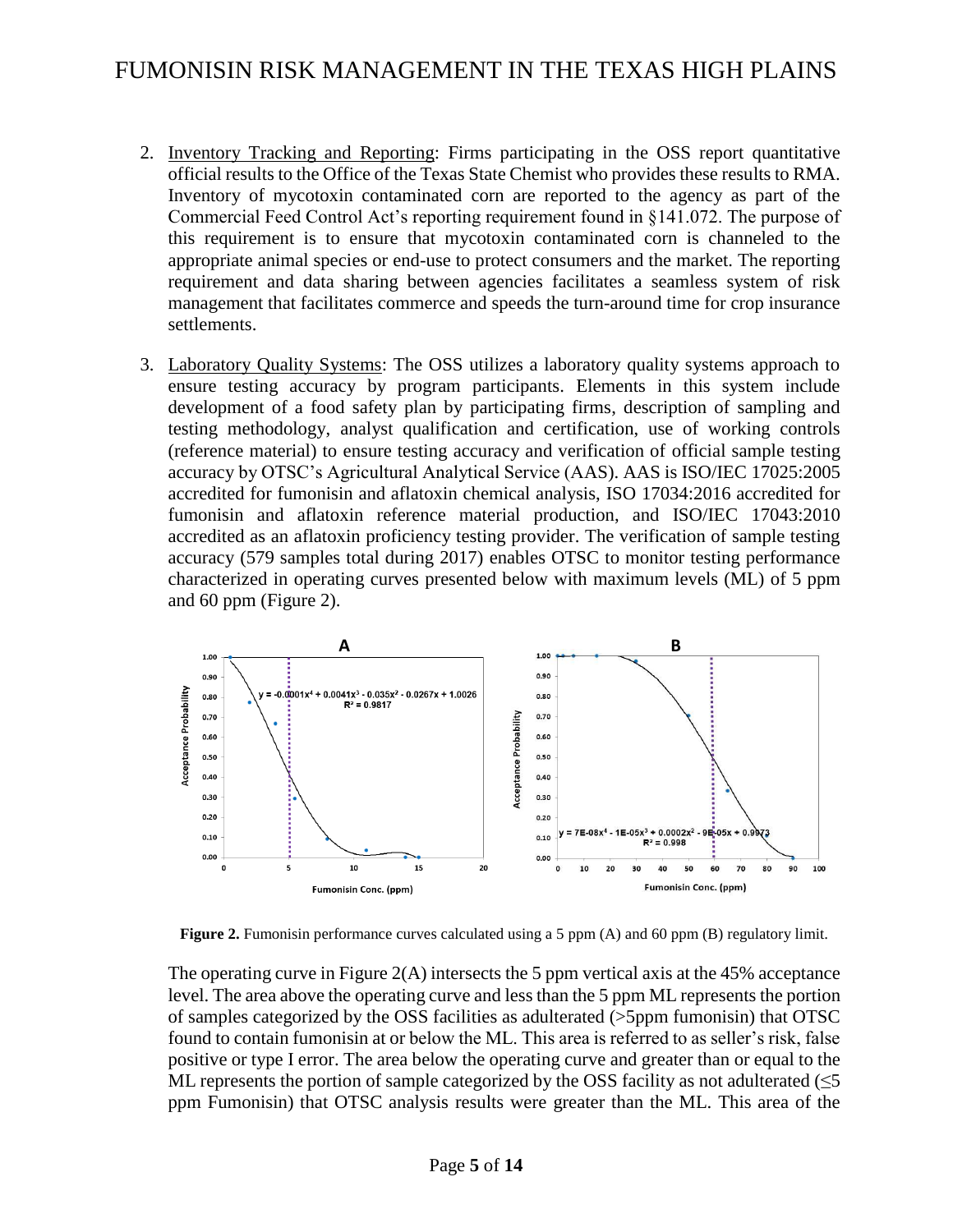- 2. Inventory Tracking and Reporting: Firms participating in the OSS report quantitative official results to the Office of the Texas State Chemist who provides these results to RMA. Inventory of mycotoxin contaminated corn are reported to the agency as part of the Commercial Feed Control Act's reporting requirement found in §141.072. The purpose of this requirement is to ensure that mycotoxin contaminated corn is channeled to the appropriate animal species or end-use to protect consumers and the market. The reporting requirement and data sharing between agencies facilitates a seamless system of risk management that facilitates commerce and speeds the turn-around time for crop insurance settlements.
- 3. Laboratory Quality Systems: The OSS utilizes a laboratory quality systems approach to ensure testing accuracy by program participants. Elements in this system include development of a food safety plan by participating firms, description of sampling and testing methodology, analyst qualification and certification, use of working controls (reference material) to ensure testing accuracy and verification of official sample testing accuracy by OTSC's Agricultural Analytical Service (AAS). AAS is ISO/IEC 17025:2005 accredited for fumonisin and aflatoxin chemical analysis, ISO 17034:2016 accredited for fumonisin and aflatoxin reference material production, and ISO/IEC 17043:2010 accredited as an aflatoxin proficiency testing provider. The verification of sample testing accuracy (579 samples total during 2017) enables OTSC to monitor testing performance characterized in operating curves presented below with maximum levels (ML) of 5 ppm and 60 ppm (Figure 2).



**Figure 2.** Fumonisin performance curves calculated using a 5 ppm (A) and 60 ppm (B) regulatory limit.

The operating curve in Figure 2(A) intersects the 5 ppm vertical axis at the 45% acceptance level. The area above the operating curve and less than the 5 ppm ML represents the portion of samples categorized by the OSS facilities as adulterated (>5ppm fumonisin) that OTSC found to contain fumonisin at or below the ML. This area is referred to as seller's risk, false positive or type I error. The area below the operating curve and greater than or equal to the ML represents the portion of sample categorized by the OSS facility as not adulterated ( $\leq 5$ ) ppm Fumonisin) that OTSC analysis results were greater than the ML. This area of the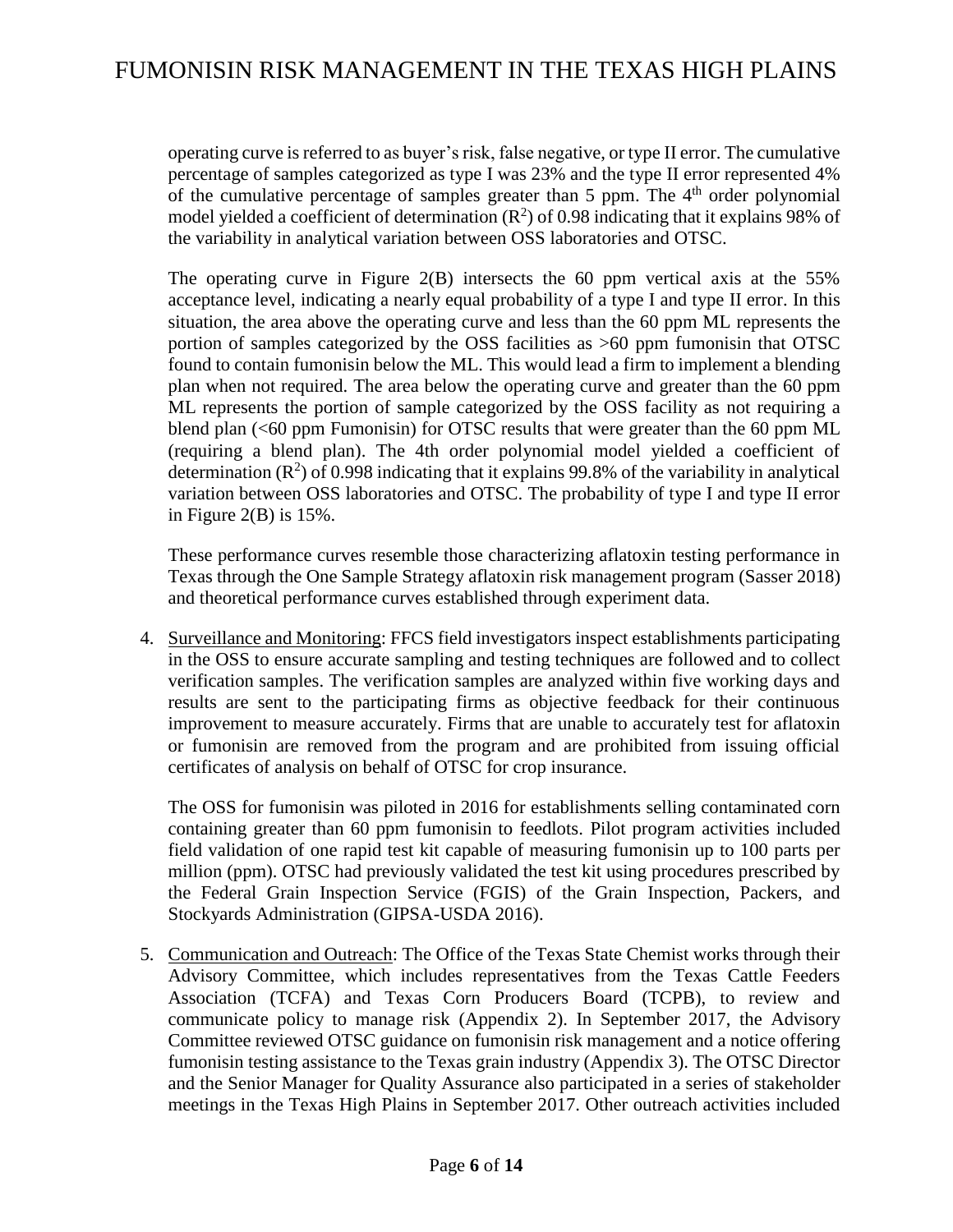operating curve is referred to as buyer's risk, false negative, or type II error. The cumulative percentage of samples categorized as type I was 23% and the type II error represented 4% of the cumulative percentage of samples greater than  $5$  ppm. The  $4<sup>th</sup>$  order polynomial model yielded a coefficient of determination  $(R^2)$  of 0.98 indicating that it explains 98% of the variability in analytical variation between OSS laboratories and OTSC.

The operating curve in Figure 2(B) intersects the 60 ppm vertical axis at the 55% acceptance level, indicating a nearly equal probability of a type I and type II error. In this situation, the area above the operating curve and less than the 60 ppm ML represents the portion of samples categorized by the OSS facilities as >60 ppm fumonisin that OTSC found to contain fumonisin below the ML. This would lead a firm to implement a blending plan when not required. The area below the operating curve and greater than the 60 ppm ML represents the portion of sample categorized by the OSS facility as not requiring a blend plan (<60 ppm Fumonisin) for OTSC results that were greater than the 60 ppm ML (requiring a blend plan). The 4th order polynomial model yielded a coefficient of determination  $(R^2)$  of 0.998 indicating that it explains 99.8% of the variability in analytical variation between OSS laboratories and OTSC. The probability of type I and type II error in Figure  $2(B)$  is 15%.

These performance curves resemble those characterizing aflatoxin testing performance in Texas through the One Sample Strategy aflatoxin risk management program (Sasser 2018) and theoretical performance curves established through experiment data.

4. Surveillance and Monitoring: FFCS field investigators inspect establishments participating in the OSS to ensure accurate sampling and testing techniques are followed and to collect verification samples. The verification samples are analyzed within five working days and results are sent to the participating firms as objective feedback for their continuous improvement to measure accurately. Firms that are unable to accurately test for aflatoxin or fumonisin are removed from the program and are prohibited from issuing official certificates of analysis on behalf of OTSC for crop insurance.

The OSS for fumonisin was piloted in 2016 for establishments selling contaminated corn containing greater than 60 ppm fumonisin to feedlots. Pilot program activities included field validation of one rapid test kit capable of measuring fumonisin up to 100 parts per million (ppm). OTSC had previously validated the test kit using procedures prescribed by the Federal Grain Inspection Service (FGIS) of the Grain Inspection, Packers, and Stockyards Administration (GIPSA-USDA 2016).

5. Communication and Outreach: The Office of the Texas State Chemist works through their Advisory Committee, which includes representatives from the Texas Cattle Feeders Association (TCFA) and Texas Corn Producers Board (TCPB), to review and communicate policy to manage risk (Appendix 2). In September 2017, the Advisory Committee reviewed OTSC guidance on fumonisin risk management and a notice offering fumonisin testing assistance to the Texas grain industry (Appendix 3). The OTSC Director and the Senior Manager for Quality Assurance also participated in a series of stakeholder meetings in the Texas High Plains in September 2017. Other outreach activities included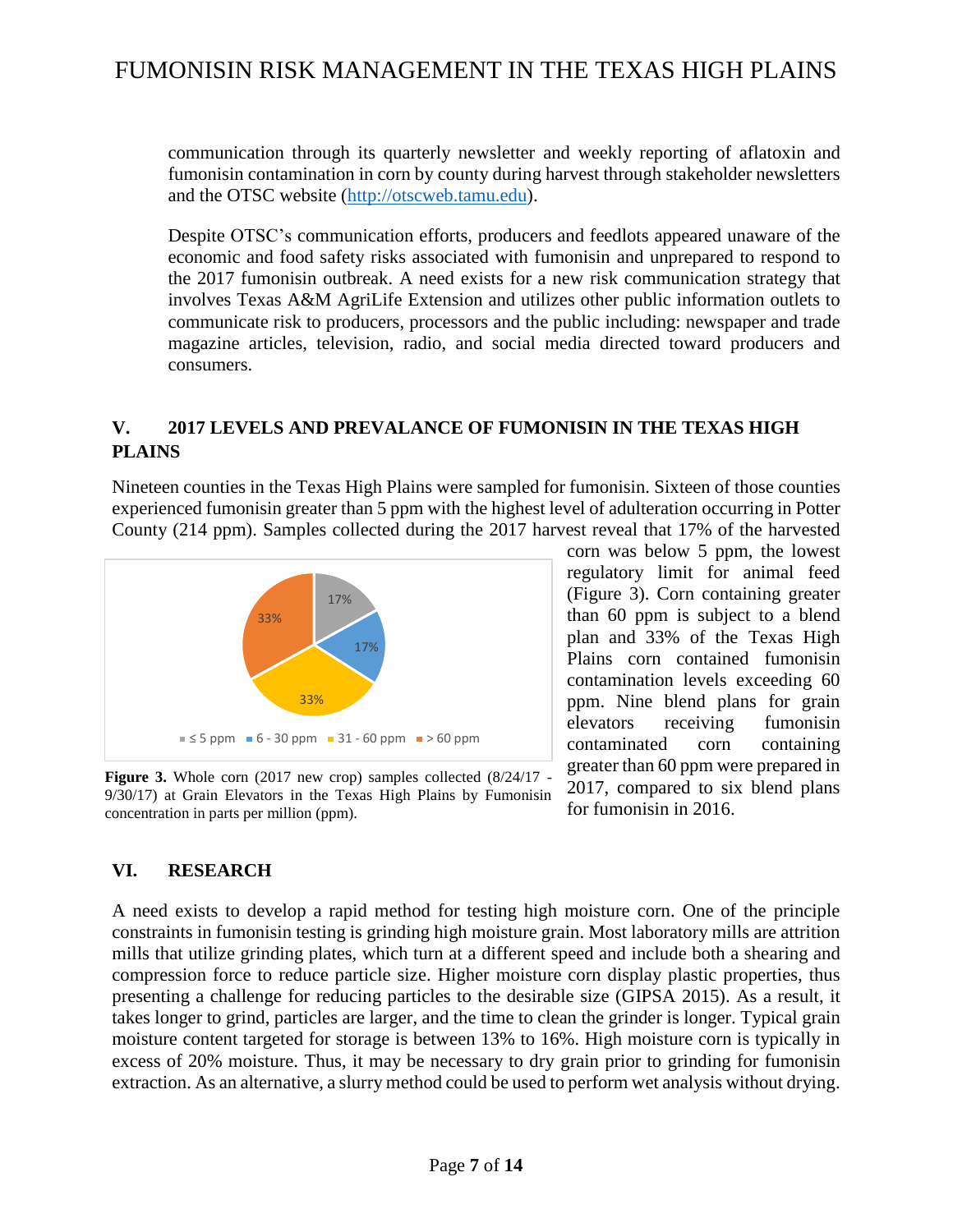communication through its quarterly newsletter and weekly reporting of aflatoxin and fumonisin contamination in corn by county during harvest through stakeholder newsletters and the OTSC website [\(http://otscweb.tamu.edu\)](http://otscweb.tamu.edu/).

Despite OTSC's communication efforts, producers and feedlots appeared unaware of the economic and food safety risks associated with fumonisin and unprepared to respond to the 2017 fumonisin outbreak. A need exists for a new risk communication strategy that involves Texas A&M AgriLife Extension and utilizes other public information outlets to communicate risk to producers, processors and the public including: newspaper and trade magazine articles, television, radio, and social media directed toward producers and consumers.

### **V. 2017 LEVELS AND PREVALANCE OF FUMONISIN IN THE TEXAS HIGH PLAINS**

Nineteen counties in the Texas High Plains were sampled for fumonisin. Sixteen of those counties experienced fumonisin greater than 5 ppm with the highest level of adulteration occurring in Potter County (214 ppm). Samples collected during the 2017 harvest reveal that 17% of the harvested



**Figure 3.** Whole corn (2017 new crop) samples collected (8/24/17 - 9/30/17) at Grain Elevators in the Texas High Plains by Fumonisin concentration in parts per million (ppm).

corn was below 5 ppm, the lowest regulatory limit for animal feed (Figure 3). Corn containing greater than 60 ppm is subject to a blend plan and 33% of the Texas High Plains corn contained fumonisin contamination levels exceeding 60 ppm. Nine blend plans for grain elevators receiving fumonisin contaminated corn containing greater than 60 ppm were prepared in 2017, compared to six blend plans for fumonisin in 2016.

### **VI. RESEARCH**

A need exists to develop a rapid method for testing high moisture corn. One of the principle constraints in fumonisin testing is grinding high moisture grain. Most laboratory mills are attrition mills that utilize grinding plates, which turn at a different speed and include both a shearing and compression force to reduce particle size. Higher moisture corn display plastic properties, thus presenting a challenge for reducing particles to the desirable size (GIPSA 2015). As a result, it takes longer to grind, particles are larger, and the time to clean the grinder is longer. Typical grain moisture content targeted for storage is between 13% to 16%. High moisture corn is typically in excess of 20% moisture. Thus, it may be necessary to dry grain prior to grinding for fumonisin extraction. As an alternative, a slurry method could be used to perform wet analysis without drying.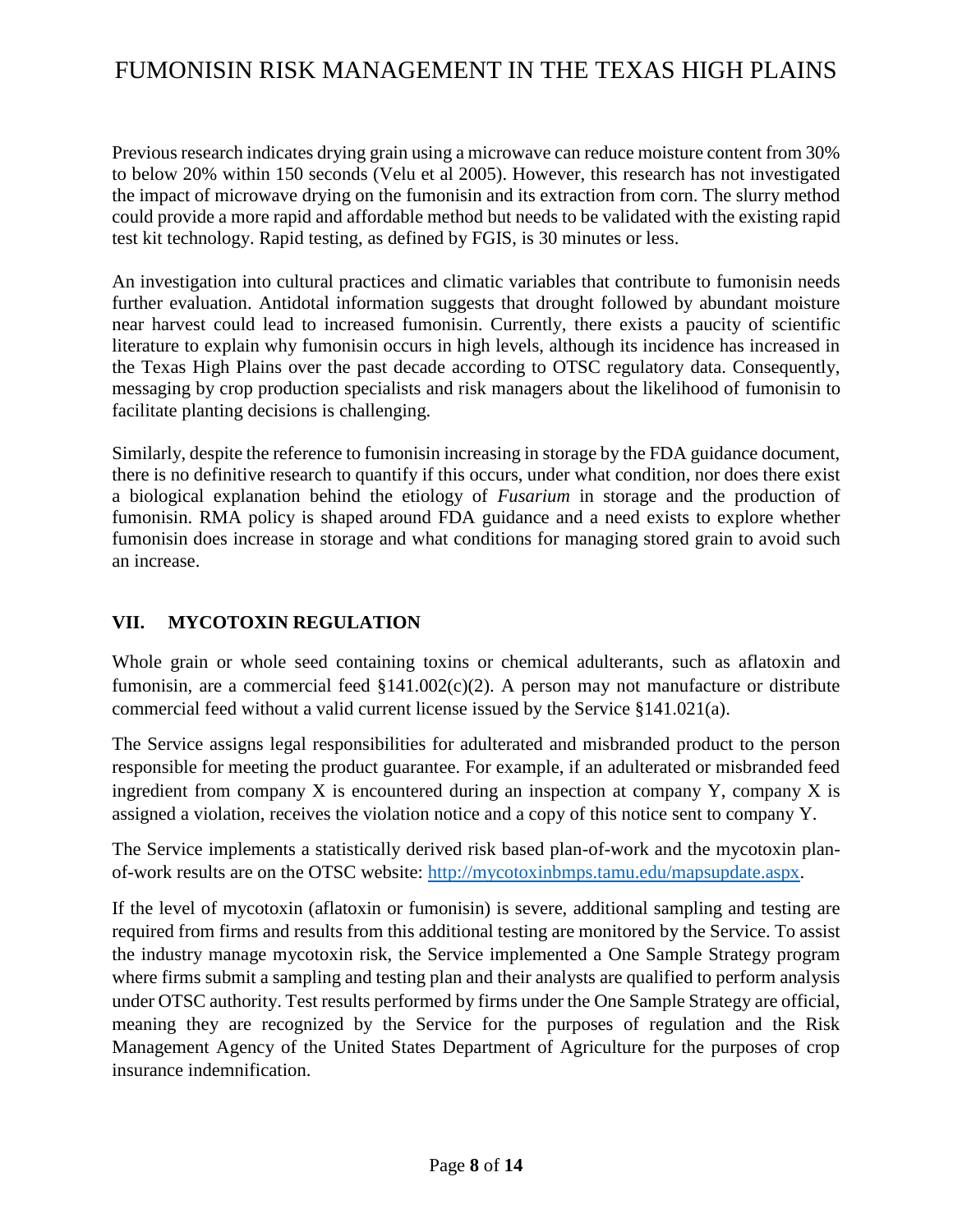Previous research indicates drying grain using a microwave can reduce moisture content from 30% to below 20% within 150 seconds (Velu et al 2005). However, this research has not investigated the impact of microwave drying on the fumonisin and its extraction from corn. The slurry method could provide a more rapid and affordable method but needs to be validated with the existing rapid test kit technology. Rapid testing, as defined by FGIS, is 30 minutes or less.

An investigation into cultural practices and climatic variables that contribute to fumonisin needs further evaluation. Antidotal information suggests that drought followed by abundant moisture near harvest could lead to increased fumonisin. Currently, there exists a paucity of scientific literature to explain why fumonisin occurs in high levels, although its incidence has increased in the Texas High Plains over the past decade according to OTSC regulatory data. Consequently, messaging by crop production specialists and risk managers about the likelihood of fumonisin to facilitate planting decisions is challenging.

Similarly, despite the reference to fumonisin increasing in storage by the FDA guidance document, there is no definitive research to quantify if this occurs, under what condition, nor does there exist a biological explanation behind the etiology of *Fusarium* in storage and the production of fumonisin. RMA policy is shaped around FDA guidance and a need exists to explore whether fumonisin does increase in storage and what conditions for managing stored grain to avoid such an increase.

### **VII. MYCOTOXIN REGULATION**

Whole grain or whole seed containing toxins or chemical adulterants, such as aflatoxin and fumonisin, are a commercial feed  $$141.002(c)(2)$ . A person may not manufacture or distribute commercial feed without a valid current license issued by the Service §141.021(a).

The Service assigns legal responsibilities for adulterated and misbranded product to the person responsible for meeting the product guarantee. For example, if an adulterated or misbranded feed ingredient from company X is encountered during an inspection at company Y, company X is assigned a violation, receives the violation notice and a copy of this notice sent to company Y.

The Service implements a statistically derived risk based plan-of-work and the mycotoxin planof-work results are on the OTSC website: [http://mycotoxinbmps.tamu.edu/mapsupdate.aspx.](http://mycotoxinbmps.tamu.edu/mapsupdate.aspx)

If the level of mycotoxin (aflatoxin or fumonisin) is severe, additional sampling and testing are required from firms and results from this additional testing are monitored by the Service. To assist the industry manage mycotoxin risk, the Service implemented a One Sample Strategy program where firms submit a sampling and testing plan and their analysts are qualified to perform analysis under OTSC authority. Test results performed by firms under the One Sample Strategy are official, meaning they are recognized by the Service for the purposes of regulation and the Risk Management Agency of the United States Department of Agriculture for the purposes of crop insurance indemnification.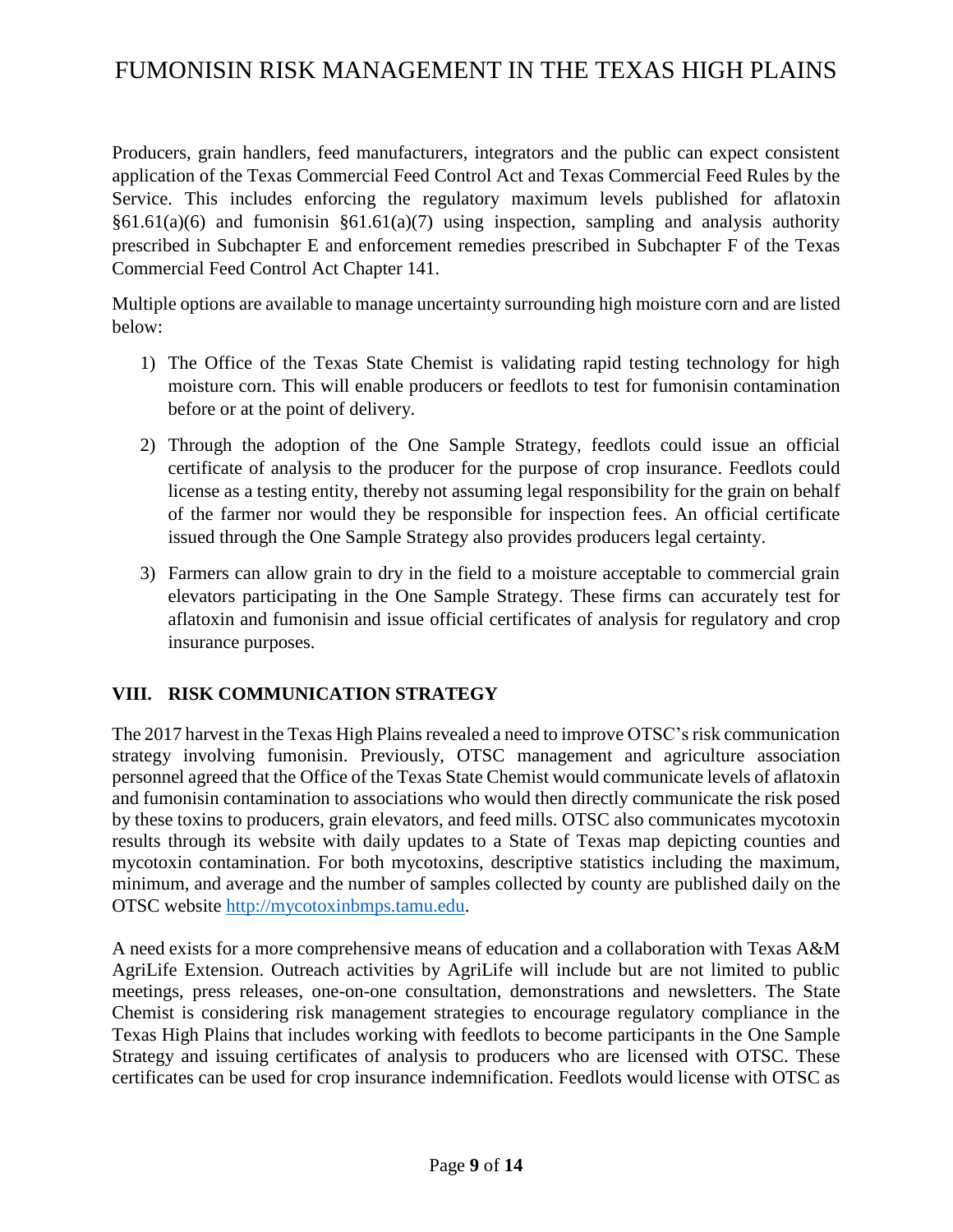Producers, grain handlers, feed manufacturers, integrators and the public can expect consistent application of the Texas Commercial Feed Control Act and Texas Commercial Feed Rules by the Service. This includes enforcing the regulatory maximum levels published for aflatoxin  $§61.61(a)(6)$  and fumonisin  $§61.61(a)(7)$  using inspection, sampling and analysis authority prescribed in Subchapter E and enforcement remedies prescribed in Subchapter F of the Texas Commercial Feed Control Act Chapter 141.

Multiple options are available to manage uncertainty surrounding high moisture corn and are listed below:

- 1) The Office of the Texas State Chemist is validating rapid testing technology for high moisture corn. This will enable producers or feedlots to test for fumonisin contamination before or at the point of delivery.
- 2) Through the adoption of the One Sample Strategy, feedlots could issue an official certificate of analysis to the producer for the purpose of crop insurance. Feedlots could license as a testing entity, thereby not assuming legal responsibility for the grain on behalf of the farmer nor would they be responsible for inspection fees. An official certificate issued through the One Sample Strategy also provides producers legal certainty.
- 3) Farmers can allow grain to dry in the field to a moisture acceptable to commercial grain elevators participating in the One Sample Strategy. These firms can accurately test for aflatoxin and fumonisin and issue official certificates of analysis for regulatory and crop insurance purposes.

### **VIII. RISK COMMUNICATION STRATEGY**

The 2017 harvest in the Texas High Plains revealed a need to improve OTSC's risk communication strategy involving fumonisin. Previously, OTSC management and agriculture association personnel agreed that the Office of the Texas State Chemist would communicate levels of aflatoxin and fumonisin contamination to associations who would then directly communicate the risk posed by these toxins to producers, grain elevators, and feed mills. OTSC also communicates mycotoxin results through its website with daily updates to a State of Texas map depicting counties and mycotoxin contamination. For both mycotoxins, descriptive statistics including the maximum, minimum, and average and the number of samples collected by county are published daily on the OTSC website [http://mycotoxinbmps.tamu.edu.](http://mycotoxinbmps.tamu.edu/)

A need exists for a more comprehensive means of education and a collaboration with Texas A&M AgriLife Extension. Outreach activities by AgriLife will include but are not limited to public meetings, press releases, one-on-one consultation, demonstrations and newsletters. The State Chemist is considering risk management strategies to encourage regulatory compliance in the Texas High Plains that includes working with feedlots to become participants in the One Sample Strategy and issuing certificates of analysis to producers who are licensed with OTSC. These certificates can be used for crop insurance indemnification. Feedlots would license with OTSC as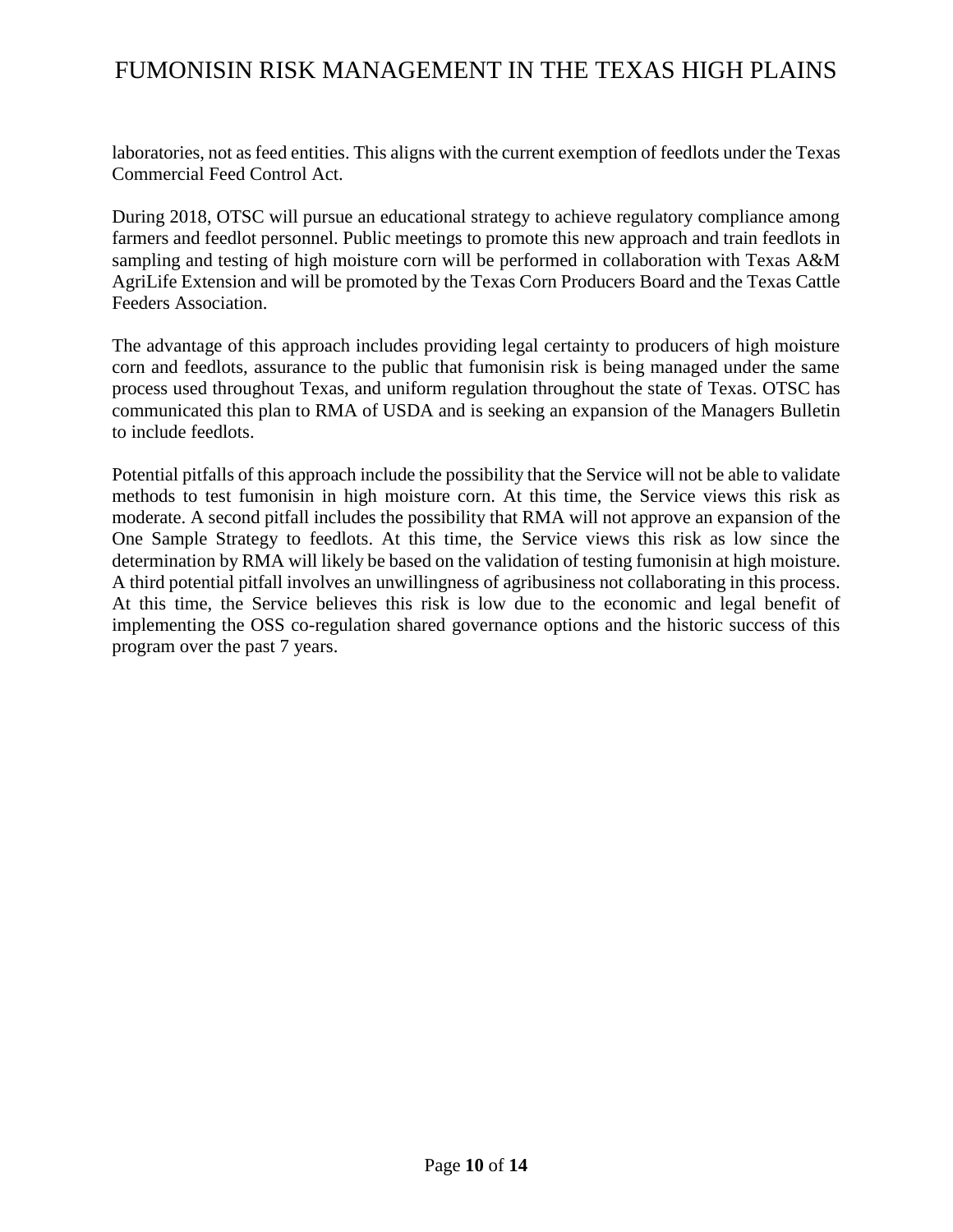laboratories, not as feed entities. This aligns with the current exemption of feedlots under the Texas Commercial Feed Control Act.

During 2018, OTSC will pursue an educational strategy to achieve regulatory compliance among farmers and feedlot personnel. Public meetings to promote this new approach and train feedlots in sampling and testing of high moisture corn will be performed in collaboration with Texas A&M AgriLife Extension and will be promoted by the Texas Corn Producers Board and the Texas Cattle Feeders Association.

The advantage of this approach includes providing legal certainty to producers of high moisture corn and feedlots, assurance to the public that fumonisin risk is being managed under the same process used throughout Texas, and uniform regulation throughout the state of Texas. OTSC has communicated this plan to RMA of USDA and is seeking an expansion of the Managers Bulletin to include feedlots.

Potential pitfalls of this approach include the possibility that the Service will not be able to validate methods to test fumonisin in high moisture corn. At this time, the Service views this risk as moderate. A second pitfall includes the possibility that RMA will not approve an expansion of the One Sample Strategy to feedlots. At this time, the Service views this risk as low since the determination by RMA will likely be based on the validation of testing fumonisin at high moisture. A third potential pitfall involves an unwillingness of agribusiness not collaborating in this process. At this time, the Service believes this risk is low due to the economic and legal benefit of implementing the OSS co-regulation shared governance options and the historic success of this program over the past 7 years.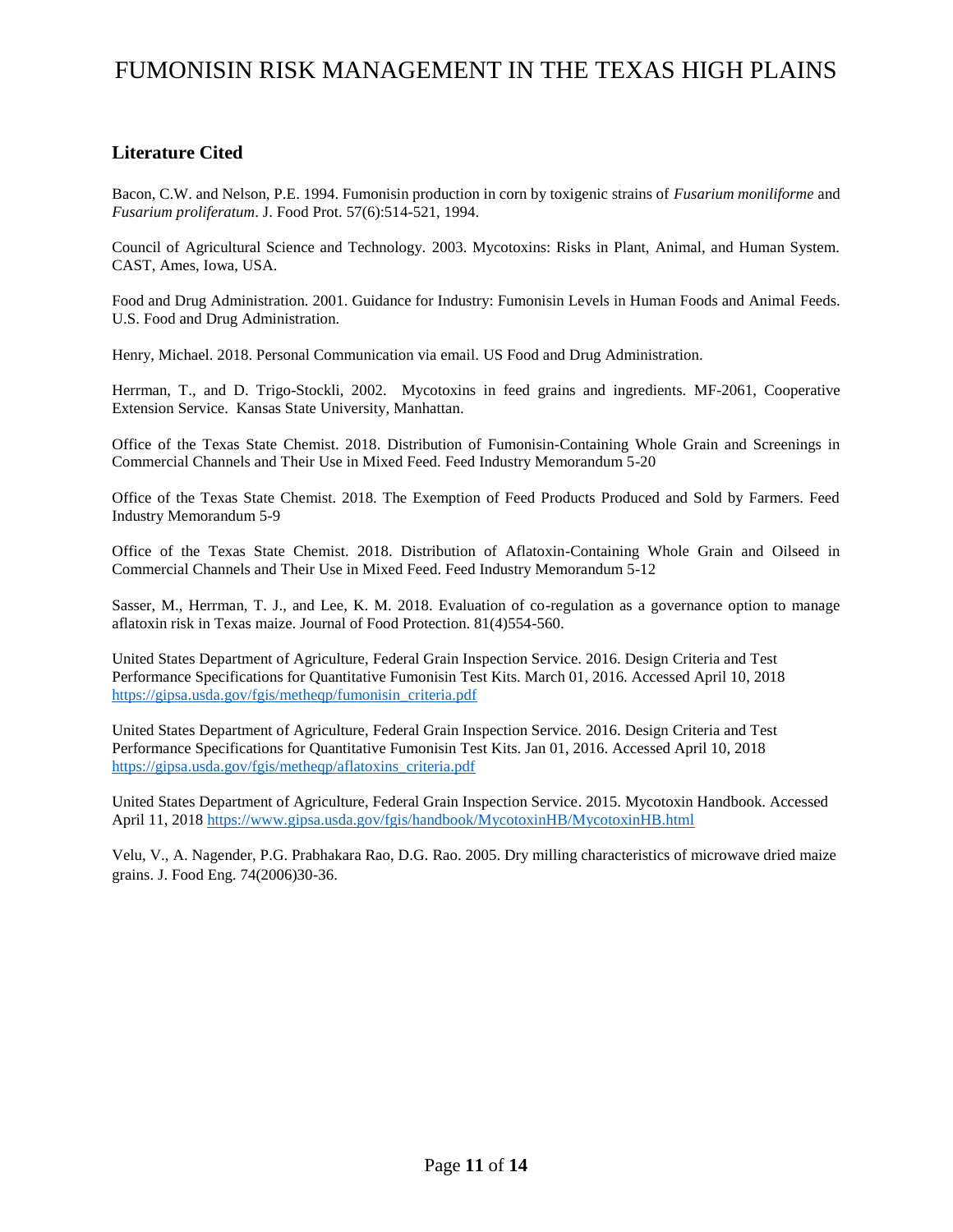### **Literature Cited**

Bacon, C.W. and Nelson, P.E. 1994. Fumonisin production in corn by toxigenic strains of *Fusarium moniliforme* and *Fusarium proliferatum*. J. Food Prot. 57(6):514-521, 1994.

Council of Agricultural Science and Technology. 2003. Mycotoxins: Risks in Plant, Animal, and Human System. CAST, Ames, Iowa, USA.

Food and Drug Administration. 2001. Guidance for Industry: Fumonisin Levels in Human Foods and Animal Feeds. U.S. Food and Drug Administration.

Henry, Michael. 2018. Personal Communication via email. US Food and Drug Administration.

Herrman, T., and D. Trigo-Stockli, 2002. Mycotoxins in feed grains and ingredients. MF-2061, Cooperative Extension Service. Kansas State University, Manhattan.

Office of the Texas State Chemist. 2018. Distribution of Fumonisin-Containing Whole Grain and Screenings in Commercial Channels and Their Use in Mixed Feed. Feed Industry Memorandum 5-20

Office of the Texas State Chemist. 2018. The Exemption of Feed Products Produced and Sold by Farmers. Feed Industry Memorandum 5-9

Office of the Texas State Chemist. 2018. Distribution of Aflatoxin-Containing Whole Grain and Oilseed in Commercial Channels and Their Use in Mixed Feed. Feed Industry Memorandum 5-12

Sasser, M., Herrman, T. J., and Lee, K. M. 2018. Evaluation of co-regulation as a governance option to manage aflatoxin risk in Texas maize. Journal of Food Protection. 81(4)554-560.

United States Department of Agriculture, Federal Grain Inspection Service. 2016. Design Criteria and Test Performance Specifications for Quantitative Fumonisin Test Kits. March 01, 2016. Accessed April 10, 2018 [https://gipsa.usda.gov/fgis/metheqp/fumonisin\\_criteria.pdf](https://gipsa.usda.gov/fgis/metheqp/fumonisin_criteria.pdf)

United States Department of Agriculture, Federal Grain Inspection Service. 2016. Design Criteria and Test Performance Specifications for Quantitative Fumonisin Test Kits. Jan 01, 2016. Accessed April 10, 2018 [https://gipsa.usda.gov/fgis/metheqp/aflatoxins\\_criteria.pdf](https://gipsa.usda.gov/fgis/metheqp/aflatoxins_criteria.pdf)

United States Department of Agriculture, Federal Grain Inspection Service. 2015. Mycotoxin Handbook. Accessed April 11, 2018<https://www.gipsa.usda.gov/fgis/handbook/MycotoxinHB/MycotoxinHB.html>

Velu, V., A. Nagender, P.G. Prabhakara Rao, D.G. Rao. 2005. Dry milling characteristics of microwave dried maize grains. J. Food Eng. 74(2006)30-36.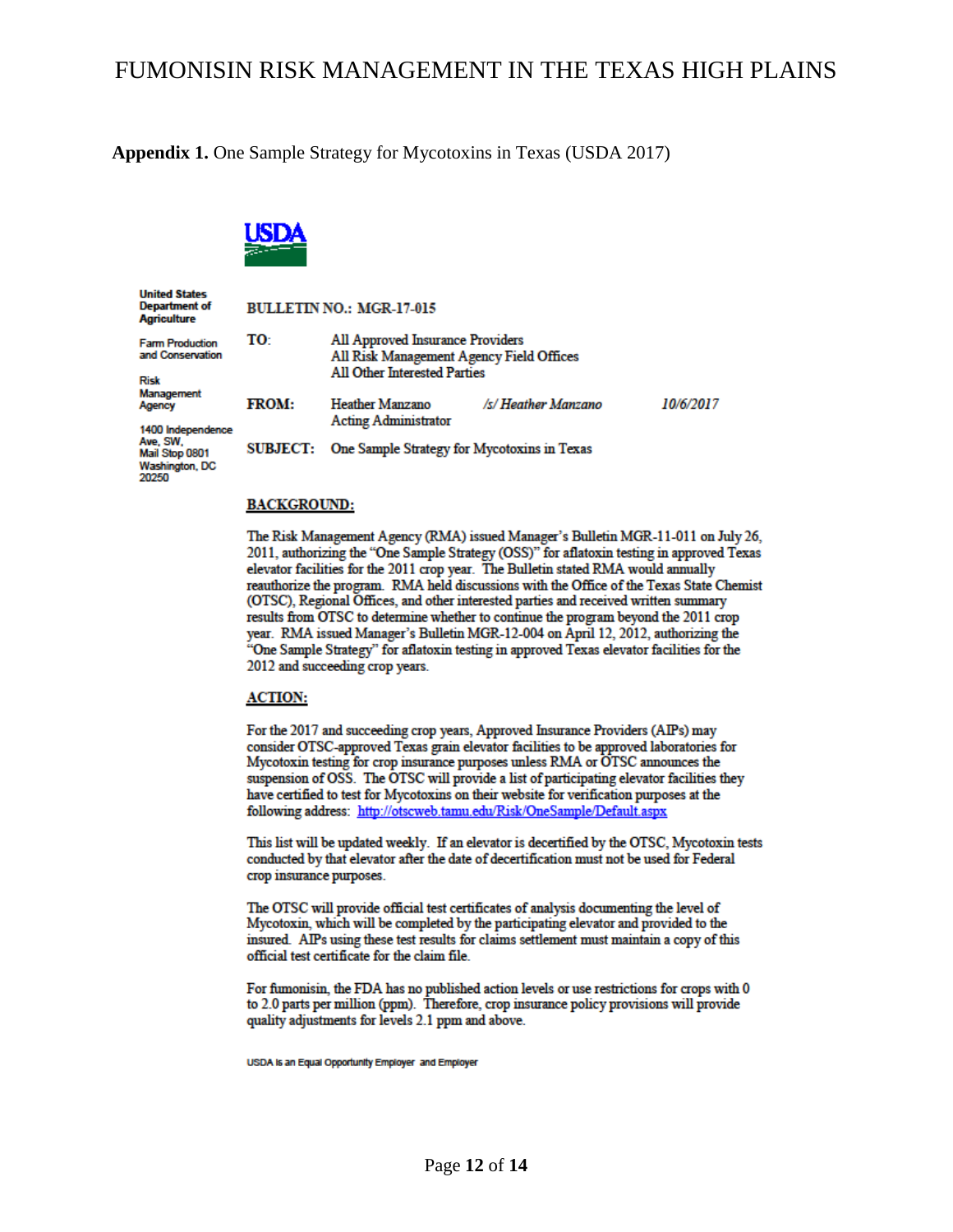**Appendix 1.** One Sample Strategy for Mycotoxins in Texas (USDA 2017)

All Approved Insurance Providers

All Other Interested Parties

All Risk Management Agency Field Offices



TO:

**United States Department of Agriculture** 

**Farm Production** and Conservation

**Risk** Management Agency

1400 Independence Ave, SW, Mail Stop 0801 **Washington, DC** 20250

**FROM: Heather Manzano Acting Administrator** SUBJECT: One Sample Strategy for Mycotoxins in Texas

**BULLETIN NO.: MGR-17-015** 

### **BACKGROUND:**

The Risk Management Agency (RMA) issued Manager's Bulletin MGR-11-011 on July 26, 2011, authorizing the "One Sample Strategy (OSS)" for aflatoxin testing in approved Texas elevator facilities for the 2011 crop year. The Bulletin stated RMA would annually reauthorize the program. RMA held discussions with the Office of the Texas State Chemist (OTSC), Regional Offices, and other interested parties and received written summary results from OTSC to determine whether to continue the program beyond the 2011 crop year. RMA issued Manager's Bulletin MGR-12-004 on April 12, 2012, authorizing the "One Sample Strategy" for aflatoxin testing in approved Texas elevator facilities for the 2012 and succeeding crop years.

/s/ Heather Manzano

10/6/2017

#### **ACTION:**

For the 2017 and succeeding crop years, Approved Insurance Providers (AIPs) may consider OTSC-approved Texas grain elevator facilities to be approved laboratories for Mycotoxin testing for crop insurance purposes unless RMA or OTSC announces the suspension of OSS. The OTSC will provide a list of participating elevator facilities they have certified to test for Mycotoxins on their website for verification purposes at the following address: http://otscweb.tamu.edu/Risk/OneSample/Default.aspx

This list will be updated weekly. If an elevator is decertified by the OTSC, Mycotoxin tests conducted by that elevator after the date of decertification must not be used for Federal crop insurance purposes.

The OTSC will provide official test certificates of analysis documenting the level of Mycotoxin, which will be completed by the participating elevator and provided to the insured. AIPs using these test results for claims settlement must maintain a copy of this official test certificate for the claim file.

For fumonisin, the FDA has no published action levels or use restrictions for crops with 0 to 2.0 parts per million (ppm). Therefore, crop insurance policy provisions will provide quality adjustments for levels 2.1 ppm and above.

USDA Is an Equal Opportunity Employer and Employer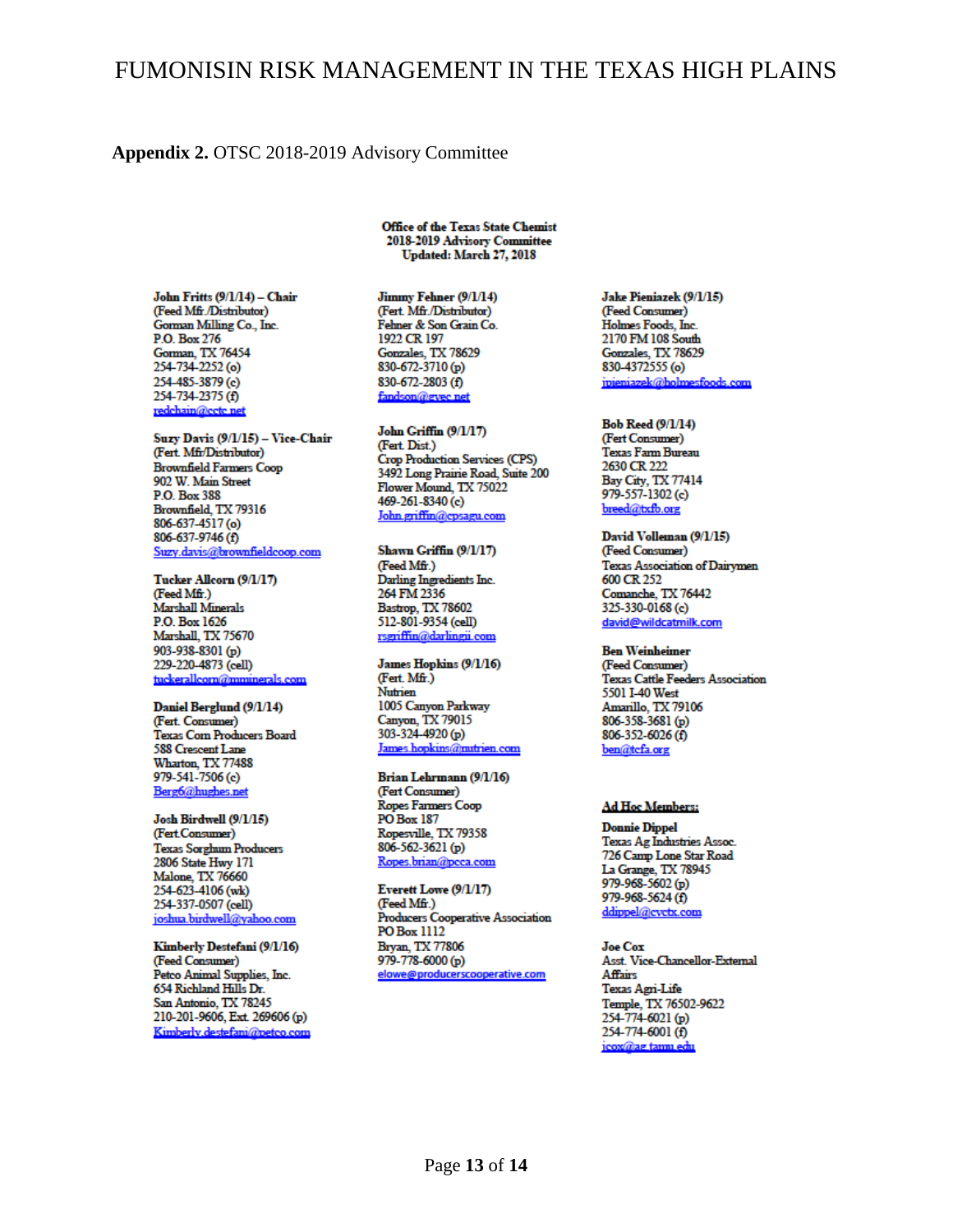#### Appendix 2. OTSC 2018-2019 Advisory Committee

John Fritts (9/1/14) - Chair (Feed Mfr./Distributor) Gorman Milling Co., Inc. P.O. Box 276 Gorman, TX 76454 254-734-2252 (o) 254-485-3879 (e) 254-734-2375 (f) redchain@cctc.net

Suzy Davis (9/1/15) - Vice-Chair (Fert. Mfr/Distributor) **Brownfield Farmers Coop** 902 W. Main Street P.O. Box 388 Brownfield, TX 79316 806-637-4517 (o) 806-637-9746 (f) Suzy.davis@brownfieldcoop.com

Tucker Allcorn (9/1/17) (Feed Mfr.) **Marshall Minerals** P.O. Box 1626 Marshall, TX 75670 903-938-8301 (p) 229-220-4873 (cell) tuckerallcorn@mminerals.com

Daniel Berglund (9/1/14) (Fert. Consumer) Texas Corn Producers Board 588 Crescent Lane Wharton, TX 77488 979-541-7506 (c) Berg6@hughes.net

Josh Birdwell (9/1/15) (Fert.Consumer) **Texas Sorghum Producers** 2806 State Hwy 171 Malone, TX 76660 254-623-4106 (wk) 254-337-0507 (cell) joshua.birdwell@yahoo.com

Kimberly Destefani (9/1/16) (Feed Consumer) Petco Animal Supplies, Inc. 654 Richland Hills Dr. San Antonio, TX 78245 210-201-9606, Ext. 269606 (p) Kimberly destefani@netco.com **Office of the Texas State Chemist** 2018-2019 Advisory Committee Updated: March 27, 2018

Jimmy Fehner (9/1/14) (Fert. Mfr./Distributor) Fehner & Son Grain Co. 1922 CR 197 Gonzales, TX 78629 830-672-3710 (p) 830-672-2803 (f) fandson@gyec.net

John Griffin (9/1/17) (Fert. Dist.) **Crop Production Services (CPS)** 3492 Long Prairie Road, Suite 200 Flower Mound, TX 75022 469-261-8340 (c) John.griffin@cpsagu.com

Shawn Griffin (9/1/17) (Feed Mfr.) Darling Ingredients Inc. 264 FM 2336 Bastrop, TX 78602 512-801-9354 (cell) rsgriffin@darlingii.com

James Hopkins (9/1/16) (Fert. Mfr.) **Nutrien** 1005 Canyon Parkway Canyon, TX 79015 303-324-4920 (p) James.hopkins@mutrien.com

Brian Lehrmann (9/1/16) (Fert Consumer) Ropes Farmers Coop PO Box 187 Ropesville, TX 79358 806-562-3621 (p) Ropes.brian@pcca.com

Everett Lowe (9/1/17) (Feed Mfr.) Producers Cooperative Association PO Box 1112 Bryan, TX 77806 979-778-6000 (p) elowe@producerscooperative.com

Jake Pieniazek (9/1/15) (Feed Consumer) Holmes Foods, Inc. 2170 FM 108 South Gonzales, TX 78629 830-4372555 (o) ipieniazek@holmesfoods.com

**Bob Reed (9/1/14)** (Fert Consumer) Texas Farm Bureau 2630 CR 222 Bay City, TX 77414 979-557-1302 (c) breed@txfb.org

David Volleman (9/1/15) (Feed Consumer) **Texas Association of Dairymen** 600 CR 252 Comanche, TX 76442 325-330-0168 (e) david@wildcatmilk.com

**Ben Weinheimer** 

(Feed Consumer) Texas Cattle Feeders Association 5501 I-40 West Amarillo, TX 79106 806-358-3681 (p) 806-352-6026 (f) ben@tcfa.org

#### **Ad Hoc Members:**

**Donnie Dippel** Texas Ag Industries Assoc. 726 Camp Lone Star Road La Grange, TX 78945 979-968-5602 (p) 979-968-5624 (f) ddippel@cvctx.com

Joe Cox Asst. Vice-Chancellor-External Affairs Texas Agri-Life Temple, TX 76502-9622 254-774-6021 (p) 254-774-6001 (f) icox@ag.tamu.edu